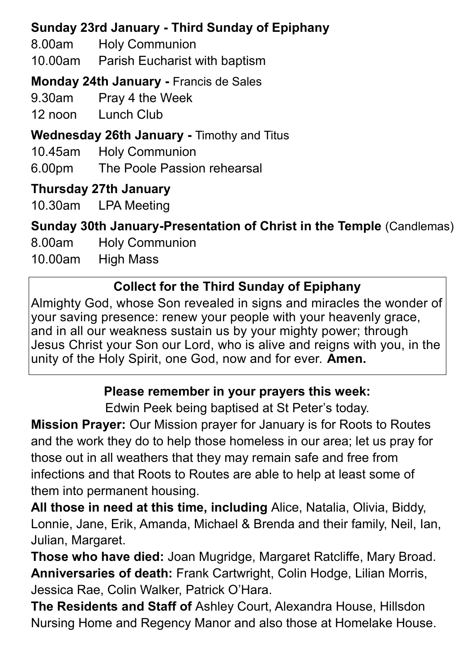# **Sunday 23rd January - Third Sunday of Epiphany**

8.00am Holy Communion

10.00am Parish Eucharist with baptism

**Monday 24th January -** Francis de Sales

9.30am Pray 4 the Week

12 noon Lunch Club

**Wednesday 26th January -** Timothy and Titus

10.45am Holy Communion

6.00pm The Poole Passion rehearsal

### **Thursday 27th January**

10.30am LPA Meeting

**Sunday 30th January-Presentation of Christ in the Temple** (Candlemas)

8.00am Holy Communion

10.00am High Mass

# **Collect for the Third Sunday of Epiphany**

Almighty God, whose Son revealed in signs and miracles the wonder of your saving presence: renew your people with your heavenly grace, and in all our weakness sustain us by your mighty power; through Jesus Christ your Son our Lord, who is alive and reigns with you, in the unity of the Holy Spirit, one God, now and for ever. **Amen.**

### **Please remember in your prayers this week:**

Edwin Peek being baptised at St Peter's today.

**Mission Prayer:** Our Mission prayer for January is for Roots to Routes and the work they do to help those homeless in our area; let us pray for those out in all weathers that they may remain safe and free from infections and that Roots to Routes are able to help at least some of them into permanent housing.

**All those in need at this time, including** Alice, Natalia, Olivia, Biddy, Lonnie, Jane, Erik, Amanda, Michael & Brenda and their family, Neil, Ian, Julian, Margaret.

**Those who have died:** Joan Mugridge, Margaret Ratcliffe, Mary Broad. **Anniversaries of death:** Frank Cartwright, Colin Hodge, Lilian Morris, Jessica Rae, Colin Walker, Patrick O'Hara.

**The Residents and Staff of** Ashley Court, Alexandra House, Hillsdon Nursing Home and Regency Manor and also those at Homelake House.